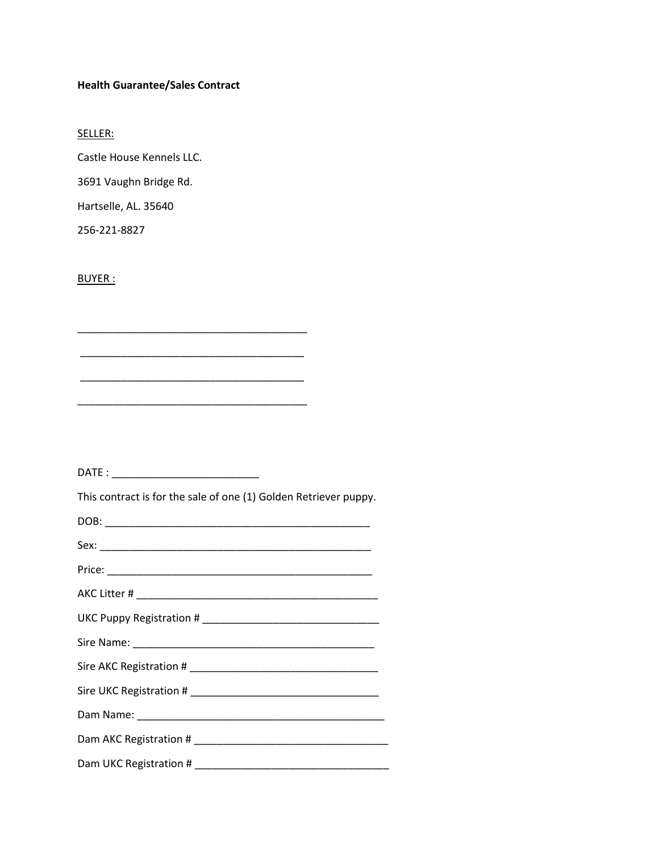# **Health Guarantee/Sales Contract**

SELLER:

Castle House Kennels LLC.

3691 Vaughn Bridge Rd.

Hartselle, AL. 35640

256-221-8827

BUYER :

DATE : \_\_\_\_\_\_\_\_\_\_\_\_\_\_\_\_\_\_\_\_\_\_\_\_\_

\_\_\_\_\_\_\_\_\_\_\_\_\_\_\_\_\_\_\_\_\_\_\_\_\_\_\_\_\_\_\_\_\_\_\_\_\_\_\_

\_\_\_\_\_\_\_\_\_\_\_\_\_\_\_\_\_\_\_\_\_\_\_\_\_\_\_\_\_\_\_\_\_\_\_\_\_\_

\_\_\_\_\_\_\_\_\_\_\_\_\_\_\_\_\_\_\_\_\_\_\_\_\_\_\_\_\_\_\_\_\_\_\_\_\_\_\_

\_\_\_\_\_\_\_\_\_\_\_\_\_\_\_\_\_\_\_\_\_\_\_\_\_\_\_\_\_\_\_\_\_\_\_\_\_\_

This contract is for the sale of one (1) Golden Retriever puppy.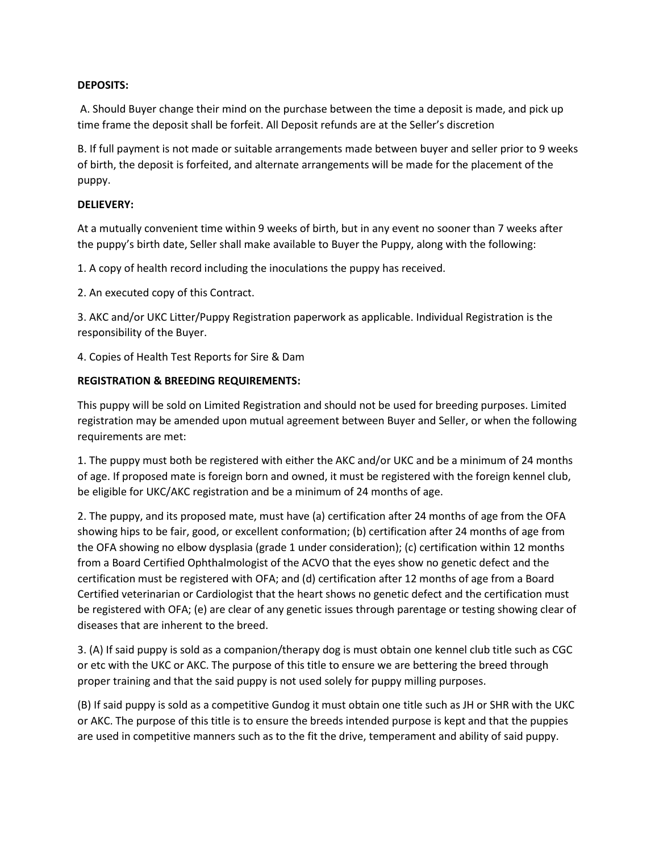## **DEPOSITS:**

A. Should Buyer change their mind on the purchase between the time a deposit is made, and pick up time frame the deposit shall be forfeit. All Deposit refunds are at the Seller's discretion

B. If full payment is not made or suitable arrangements made between buyer and seller prior to 9 weeks of birth, the deposit is forfeited, and alternate arrangements will be made for the placement of the puppy.

## **DELIEVERY:**

At a mutually convenient time within 9 weeks of birth, but in any event no sooner than 7 weeks after the puppy's birth date, Seller shall make available to Buyer the Puppy, along with the following:

1. A copy of health record including the inoculations the puppy has received.

2. An executed copy of this Contract.

3. AKC and/or UKC Litter/Puppy Registration paperwork as applicable. Individual Registration is the responsibility of the Buyer.

4. Copies of Health Test Reports for Sire & Dam

## **REGISTRATION & BREEDING REQUIREMENTS:**

This puppy will be sold on Limited Registration and should not be used for breeding purposes. Limited registration may be amended upon mutual agreement between Buyer and Seller, or when the following requirements are met:

1. The puppy must both be registered with either the AKC and/or UKC and be a minimum of 24 months of age. If proposed mate is foreign born and owned, it must be registered with the foreign kennel club, be eligible for UKC/AKC registration and be a minimum of 24 months of age.

2. The puppy, and its proposed mate, must have (a) certification after 24 months of age from the OFA showing hips to be fair, good, or excellent conformation; (b) certification after 24 months of age from the OFA showing no elbow dysplasia (grade 1 under consideration); (c) certification within 12 months from a Board Certified Ophthalmologist of the ACVO that the eyes show no genetic defect and the certification must be registered with OFA; and (d) certification after 12 months of age from a Board Certified veterinarian or Cardiologist that the heart shows no genetic defect and the certification must be registered with OFA; (e) are clear of any genetic issues through parentage or testing showing clear of diseases that are inherent to the breed.

3. (A) If said puppy is sold as a companion/therapy dog is must obtain one kennel club title such as CGC or etc with the UKC or AKC. The purpose of this title to ensure we are bettering the breed through proper training and that the said puppy is not used solely for puppy milling purposes.

(B) If said puppy is sold as a competitive Gundog it must obtain one title such as JH or SHR with the UKC or AKC. The purpose of this title is to ensure the breeds intended purpose is kept and that the puppies are used in competitive manners such as to the fit the drive, temperament and ability of said puppy.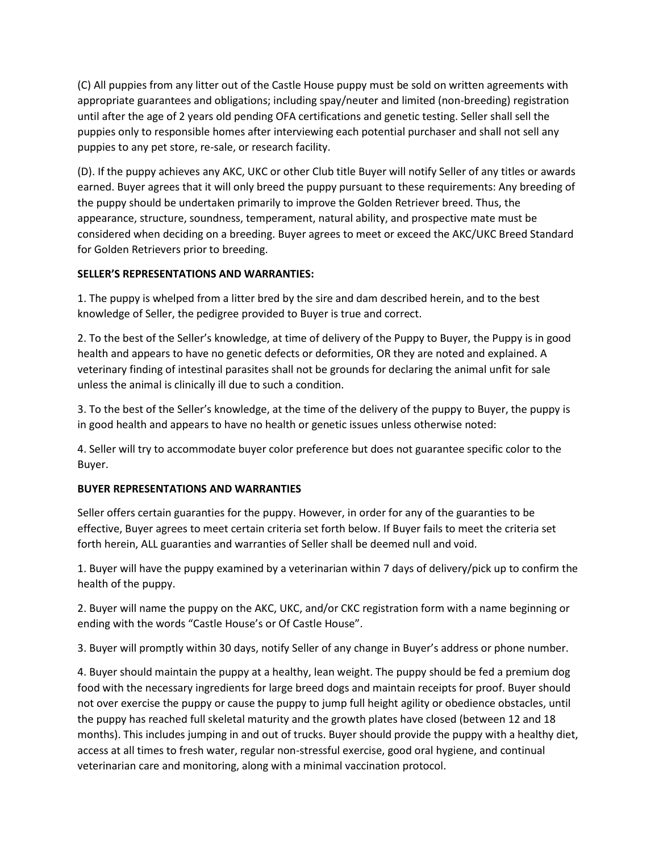(C) All puppies from any litter out of the Castle House puppy must be sold on written agreements with appropriate guarantees and obligations; including spay/neuter and limited (non-breeding) registration until after the age of 2 years old pending OFA certifications and genetic testing. Seller shall sell the puppies only to responsible homes after interviewing each potential purchaser and shall not sell any puppies to any pet store, re-sale, or research facility.

(D). If the puppy achieves any AKC, UKC or other Club title Buyer will notify Seller of any titles or awards earned. Buyer agrees that it will only breed the puppy pursuant to these requirements: Any breeding of the puppy should be undertaken primarily to improve the Golden Retriever breed. Thus, the appearance, structure, soundness, temperament, natural ability, and prospective mate must be considered when deciding on a breeding. Buyer agrees to meet or exceed the AKC/UKC Breed Standard for Golden Retrievers prior to breeding.

## **SELLER'S REPRESENTATIONS AND WARRANTIES:**

1. The puppy is whelped from a litter bred by the sire and dam described herein, and to the best knowledge of Seller, the pedigree provided to Buyer is true and correct.

2. To the best of the Seller's knowledge, at time of delivery of the Puppy to Buyer, the Puppy is in good health and appears to have no genetic defects or deformities, OR they are noted and explained. A veterinary finding of intestinal parasites shall not be grounds for declaring the animal unfit for sale unless the animal is clinically ill due to such a condition.

3. To the best of the Seller's knowledge, at the time of the delivery of the puppy to Buyer, the puppy is in good health and appears to have no health or genetic issues unless otherwise noted:

4. Seller will try to accommodate buyer color preference but does not guarantee specific color to the Buyer.

# **BUYER REPRESENTATIONS AND WARRANTIES**

Seller offers certain guaranties for the puppy. However, in order for any of the guaranties to be effective, Buyer agrees to meet certain criteria set forth below. If Buyer fails to meet the criteria set forth herein, ALL guaranties and warranties of Seller shall be deemed null and void.

1. Buyer will have the puppy examined by a veterinarian within 7 days of delivery/pick up to confirm the health of the puppy.

2. Buyer will name the puppy on the AKC, UKC, and/or CKC registration form with a name beginning or ending with the words "Castle House's or Of Castle House".

3. Buyer will promptly within 30 days, notify Seller of any change in Buyer's address or phone number.

4. Buyer should maintain the puppy at a healthy, lean weight. The puppy should be fed a premium dog food with the necessary ingredients for large breed dogs and maintain receipts for proof. Buyer should not over exercise the puppy or cause the puppy to jump full height agility or obedience obstacles, until the puppy has reached full skeletal maturity and the growth plates have closed (between 12 and 18 months). This includes jumping in and out of trucks. Buyer should provide the puppy with a healthy diet, access at all times to fresh water, regular non-stressful exercise, good oral hygiene, and continual veterinarian care and monitoring, along with a minimal vaccination protocol.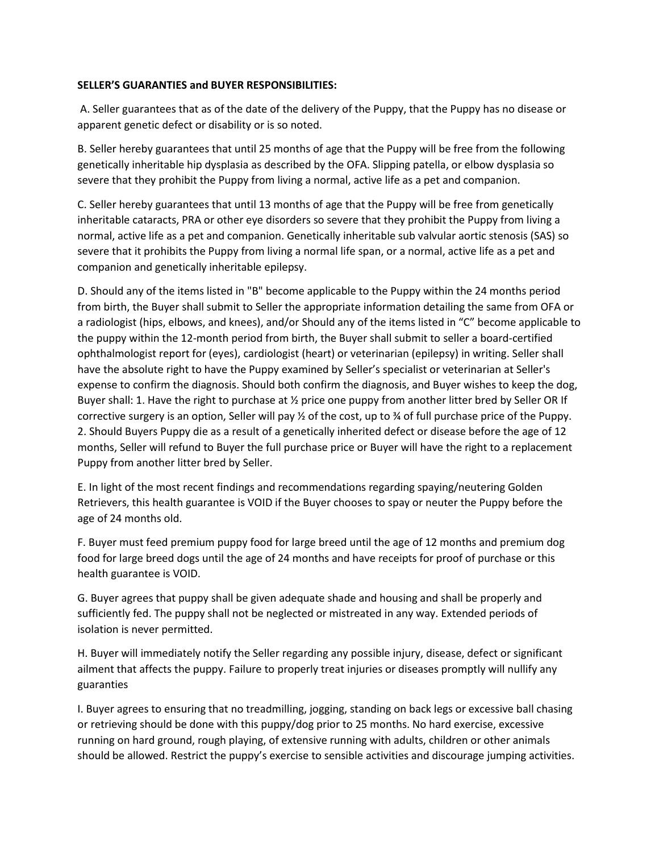## **SELLER'S GUARANTIES and BUYER RESPONSIBILITIES:**

A. Seller guarantees that as of the date of the delivery of the Puppy, that the Puppy has no disease or apparent genetic defect or disability or is so noted.

B. Seller hereby guarantees that until 25 months of age that the Puppy will be free from the following genetically inheritable hip dysplasia as described by the OFA. Slipping patella, or elbow dysplasia so severe that they prohibit the Puppy from living a normal, active life as a pet and companion.

C. Seller hereby guarantees that until 13 months of age that the Puppy will be free from genetically inheritable cataracts, PRA or other eye disorders so severe that they prohibit the Puppy from living a normal, active life as a pet and companion. Genetically inheritable sub valvular aortic stenosis (SAS) so severe that it prohibits the Puppy from living a normal life span, or a normal, active life as a pet and companion and genetically inheritable epilepsy.

D. Should any of the items listed in "B" become applicable to the Puppy within the 24 months period from birth, the Buyer shall submit to Seller the appropriate information detailing the same from OFA or a radiologist (hips, elbows, and knees), and/or Should any of the items listed in "C" become applicable to the puppy within the 12-month period from birth, the Buyer shall submit to seller a board-certified ophthalmologist report for (eyes), cardiologist (heart) or veterinarian (epilepsy) in writing. Seller shall have the absolute right to have the Puppy examined by Seller's specialist or veterinarian at Seller's expense to confirm the diagnosis. Should both confirm the diagnosis, and Buyer wishes to keep the dog, Buyer shall: 1. Have the right to purchase at  $\frac{1}{2}$  price one puppy from another litter bred by Seller OR If corrective surgery is an option, Seller will pay  $\frac{1}{2}$  of the cost, up to  $\frac{1}{2}$  of full purchase price of the Puppy. 2. Should Buyers Puppy die as a result of a genetically inherited defect or disease before the age of 12 months, Seller will refund to Buyer the full purchase price or Buyer will have the right to a replacement Puppy from another litter bred by Seller.

E. In light of the most recent findings and recommendations regarding spaying/neutering Golden Retrievers, this health guarantee is VOID if the Buyer chooses to spay or neuter the Puppy before the age of 24 months old.

F. Buyer must feed premium puppy food for large breed until the age of 12 months and premium dog food for large breed dogs until the age of 24 months and have receipts for proof of purchase or this health guarantee is VOID.

G. Buyer agrees that puppy shall be given adequate shade and housing and shall be properly and sufficiently fed. The puppy shall not be neglected or mistreated in any way. Extended periods of isolation is never permitted.

H. Buyer will immediately notify the Seller regarding any possible injury, disease, defect or significant ailment that affects the puppy. Failure to properly treat injuries or diseases promptly will nullify any guaranties

I. Buyer agrees to ensuring that no treadmilling, jogging, standing on back legs or excessive ball chasing or retrieving should be done with this puppy/dog prior to 25 months. No hard exercise, excessive running on hard ground, rough playing, of extensive running with adults, children or other animals should be allowed. Restrict the puppy's exercise to sensible activities and discourage jumping activities.